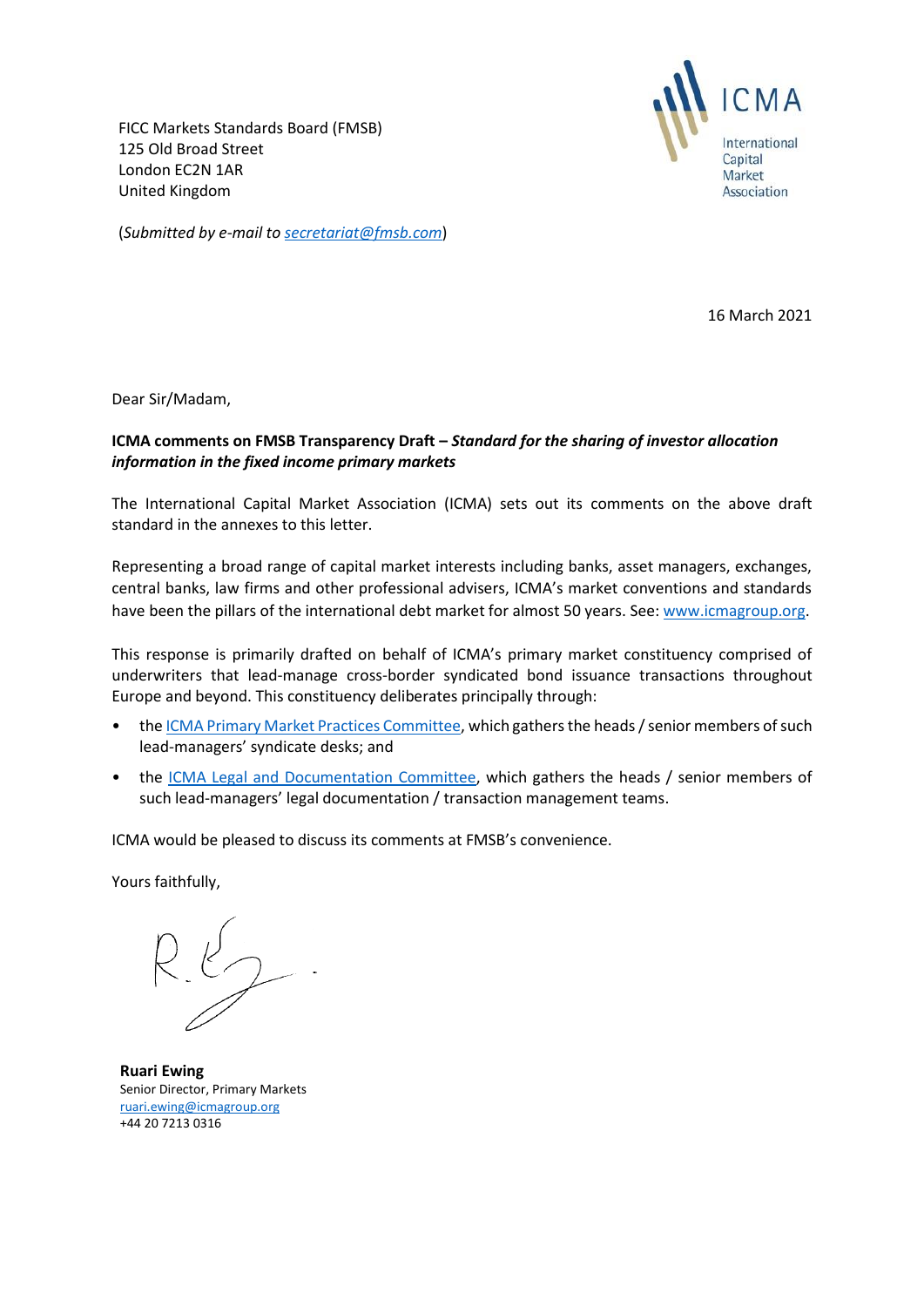FICC Markets Standards Board (FMSB) 125 Old Broad Street London EC2N 1AR United Kingdom



(*Submitted by e-mail to [secretariat@fmsb.com](mailto:secretariat@fmsb.com)*)

16 March 2021

Dear Sir/Madam,

# **ICMA comments on FMSB Transparency Draft –** *Standard for the sharing of investor allocation information in the fixed income primary markets*

The International Capital Market Association (ICMA) sets out its comments on the above draft standard in the annexes to this letter.

Representing a broad range of capital market interests including banks, asset managers, exchanges, central banks, law firms and other professional advisers, ICMA's market conventions and standards have been the pillars of the international debt market for almost 50 years. See[: www.icmagroup.org.](http://www.icmagroup.org/)

This response is primarily drafted on behalf of ICMA's primary market constituency comprised of underwriters that lead-manage cross-border syndicated bond issuance transactions throughout Europe and beyond. This constituency deliberates principally through:

- the [ICMA Primary Market Practices Committee,](https://www.icmagroup.org/Regulatory-Policy-and-Market-Practice/Primary-Markets/primary-market-committees/icma-primary-market-practices-committee/) which gathers the heads / senior members of such lead-managers' syndicate desks; and
- the [ICMA Legal and Documentation Committee,](https://www.icmagroup.org/Regulatory-Policy-and-Market-Practice/Primary-Markets/primary-market-committees/icma-legal-and-documentation-committee/) which gathers the heads / senior members of such lead-managers' legal documentation / transaction management teams.

ICMA would be pleased to discuss its comments at FMSB's convenience.

Yours faithfully,

**Ruari Ewing** Senior Director, Primary Markets [ruari.ewing@icmagroup.org](mailto:ruari.ewing@icmagroup.org)  +44 20 7213 0316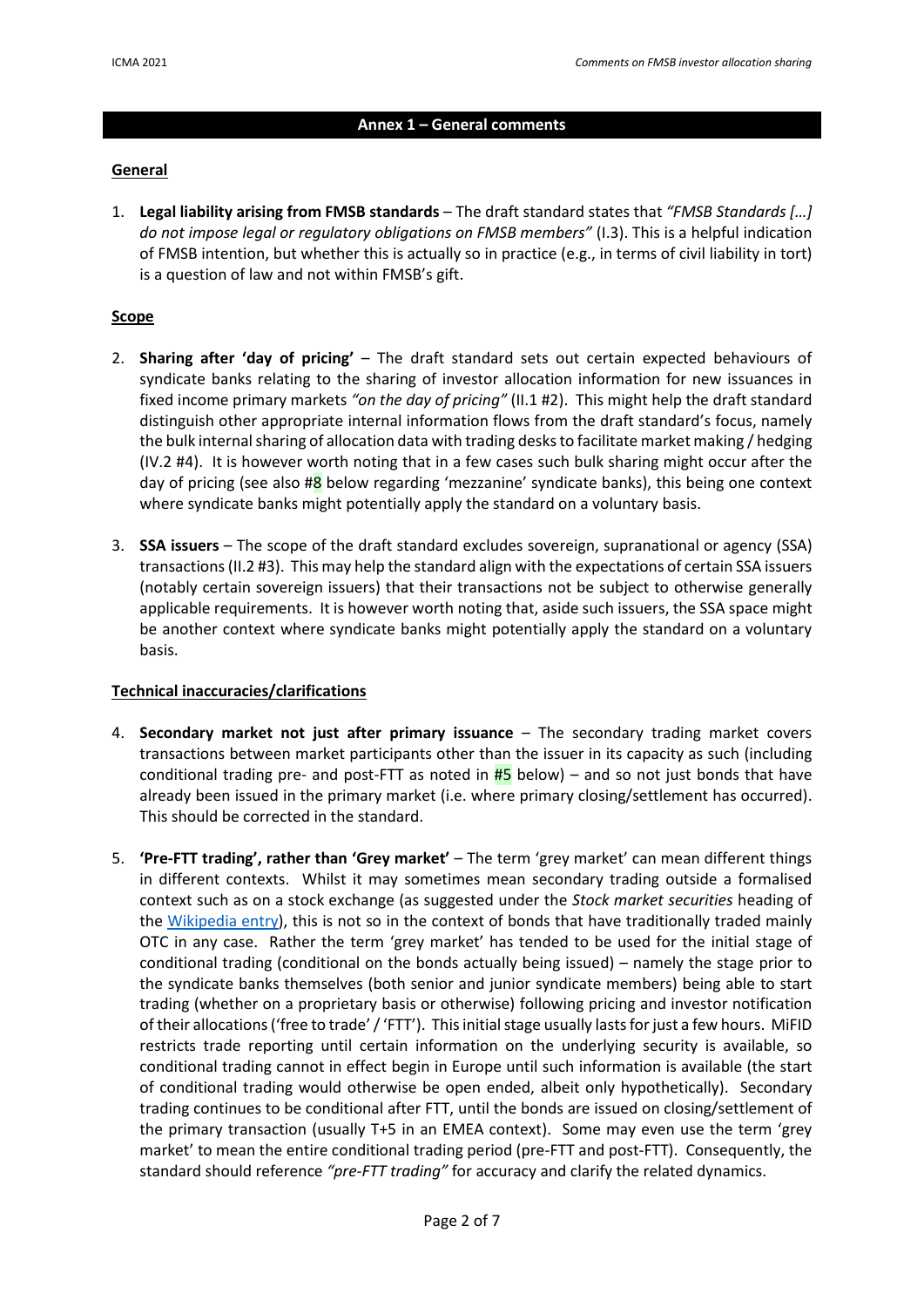#### **Annex 1 – General comments**

#### **General**

1. **Legal liability arising from FMSB standards** – The draft standard states that *"FMSB Standards […] do not impose legal or regulatory obligations on FMSB members"* (I.3). This is a helpful indication of FMSB intention, but whether this is actually so in practice (e.g., in terms of civil liability in tort) is a question of law and not within FMSB's gift.

### **Scope**

- 2. **Sharing after 'day of pricing'**  The draft standard sets out certain expected behaviours of syndicate banks relating to the sharing of investor allocation information for new issuances in fixed income primary markets *"on the day of pricing"* (II.1 #2). This might help the draft standard distinguish other appropriate internal information flows from the draft standard's focus, namely the bulk internal sharing of allocation data with trading desks to facilitate market making / hedging (IV.2 #4). It is however worth noting that in a few cases such bulk sharing might occur after the day of pricing (see also  $\#8$  below regarding 'mezzanine' syndicate banks), this being one context where syndicate banks might potentially apply the standard on a voluntary basis.
- 3. **SSA issuers** The scope of the draft standard excludes sovereign, supranational or agency (SSA) transactions (II.2 #3). This may help the standard align with the expectations of certain SSA issuers (notably certain sovereign issuers) that their transactions not be subject to otherwise generally applicable requirements. It is however worth noting that, aside such issuers, the SSA space might be another context where syndicate banks might potentially apply the standard on a voluntary basis.

#### **Technical inaccuracies/clarifications**

- 4. **Secondary market not just after primary issuance**  The secondary trading market covers transactions between market participants other than the issuer in its capacity as such (including conditional trading pre- and post-FTT as noted in  $\frac{H}{I}$  below) – and so not just bonds that have already been issued in the primary market (i.e. where primary closing/settlement has occurred). This should be corrected in the standard.
- 5. **'Pre-FTT trading', rather than 'Grey market'** The term 'grey market' can mean different things in different contexts. Whilst it may sometimes mean secondary trading outside a formalised context such as on a stock exchange (as suggested under the *Stock market securities* heading of the [Wikipedia entry\)](https://en.wikipedia.org/wiki/Grey_market#Stock_market_securities), this is not so in the context of bonds that have traditionally traded mainly OTC in any case. Rather the term 'grey market' has tended to be used for the initial stage of conditional trading (conditional on the bonds actually being issued) – namely the stage prior to the syndicate banks themselves (both senior and junior syndicate members) being able to start trading (whether on a proprietary basis or otherwise) following pricing and investor notification of their allocations ('free to trade' / 'FTT'). This initial stage usually lastsfor just a few hours. MiFID restricts trade reporting until certain information on the underlying security is available, so conditional trading cannot in effect begin in Europe until such information is available (the start of conditional trading would otherwise be open ended, albeit only hypothetically). Secondary trading continues to be conditional after FTT, until the bonds are issued on closing/settlement of the primary transaction (usually T+5 in an EMEA context). Some may even use the term 'grey market' to mean the entire conditional trading period (pre-FTT and post-FTT). Consequently, the standard should reference *"pre-FTT trading"* for accuracy and clarify the related dynamics.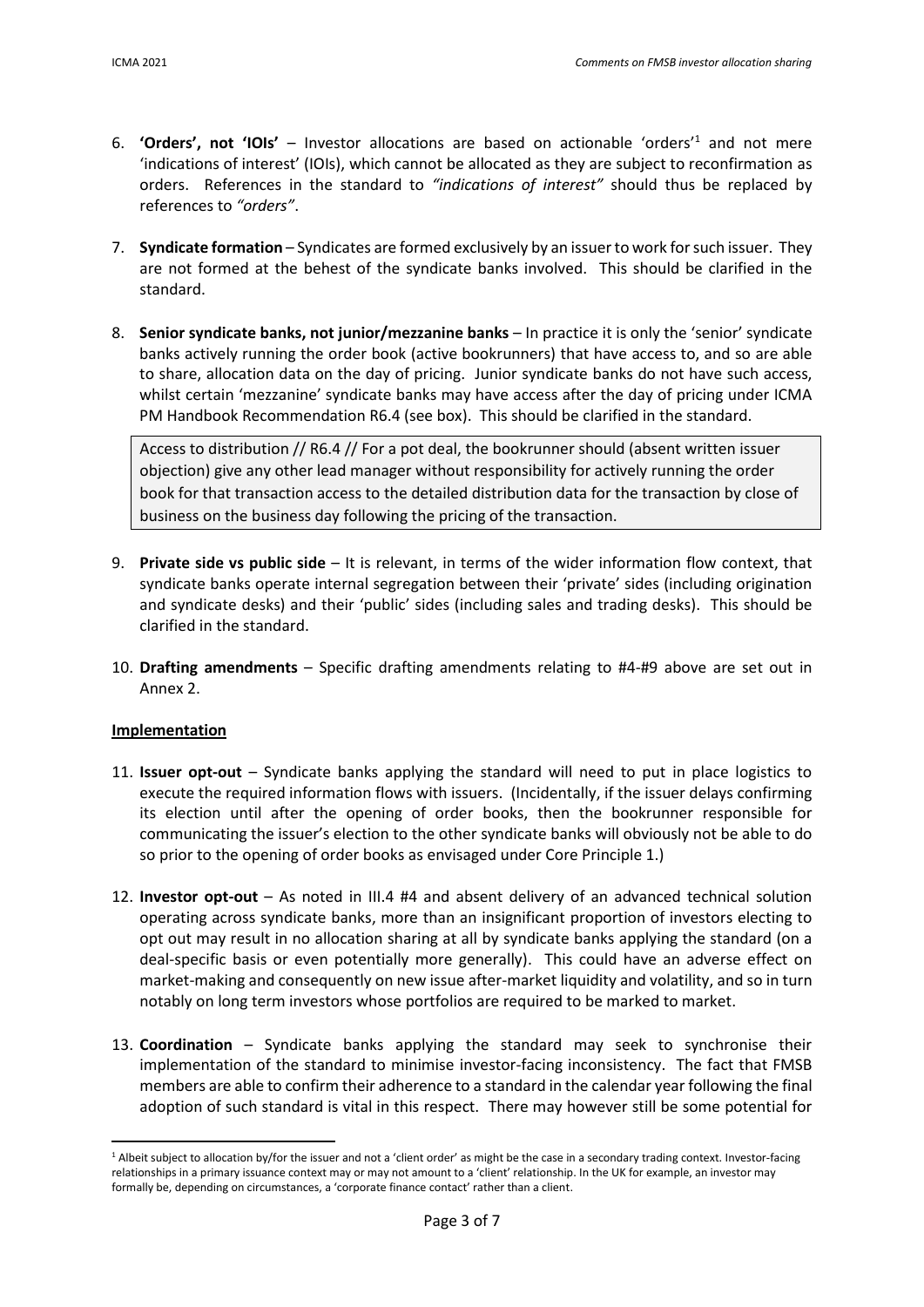- 6. **'Orders', not 'IOIs'** Investor allocations are based on actionable 'orders'<sup>1</sup> and not mere 'indications of interest' (IOIs), which cannot be allocated as they are subject to reconfirmation as orders. References in the standard to *"indications of interest"* should thus be replaced by references to *"orders"*.
- 7. **Syndicate formation**  Syndicates are formed exclusively by an issuer to work for such issuer. They are not formed at the behest of the syndicate banks involved. This should be clarified in the standard.
- 8. **Senior syndicate banks, not junior/mezzanine banks** In practice it is only the 'senior' syndicate banks actively running the order book (active bookrunners) that have access to, and so are able to share, allocation data on the day of pricing. Junior syndicate banks do not have such access, whilst certain 'mezzanine' syndicate banks may have access after the day of pricing under ICMA PM Handbook Recommendation R6.4 (see box). This should be clarified in the standard.

Access to distribution // R6.4 // For a pot deal, the bookrunner should (absent written issuer objection) give any other lead manager without responsibility for actively running the order book for that transaction access to the detailed distribution data for the transaction by close of business on the business day following the pricing of the transaction.

- 9. **Private side vs public side** It is relevant, in terms of the wider information flow context, that syndicate banks operate internal segregation between their 'private' sides (including origination and syndicate desks) and their 'public' sides (including sales and trading desks). This should be clarified in the standard.
- 10. **Drafting amendments** Specific drafting amendments relating to #4-#9 above are set out in Annex 2.

# **Implementation**

- 11. **Issuer opt-out** Syndicate banks applying the standard will need to put in place logistics to execute the required information flows with issuers. (Incidentally, if the issuer delays confirming its election until after the opening of order books, then the bookrunner responsible for communicating the issuer's election to the other syndicate banks will obviously not be able to do so prior to the opening of order books as envisaged under Core Principle 1.)
- 12. **Investor opt-out** As noted in III.4 #4 and absent delivery of an advanced technical solution operating across syndicate banks, more than an insignificant proportion of investors electing to opt out may result in no allocation sharing at all by syndicate banks applying the standard (on a deal-specific basis or even potentially more generally). This could have an adverse effect on market-making and consequently on new issue after-market liquidity and volatility, and so in turn notably on long term investors whose portfolios are required to be marked to market.
- 13. **Coordination** Syndicate banks applying the standard may seek to synchronise their implementation of the standard to minimise investor-facing inconsistency. The fact that FMSB members are able to confirm their adherence to a standard in the calendar year following the final adoption of such standard is vital in this respect. There may however still be some potential for

<sup>&</sup>lt;sup>1</sup> Albeit subject to allocation by/for the issuer and not a 'client order' as might be the case in a secondary trading context. Investor-facing relationships in a primary issuance context may or may not amount to a 'client' relationship. In the UK for example, an investor may formally be, depending on circumstances, a 'corporate finance contact' rather than a client.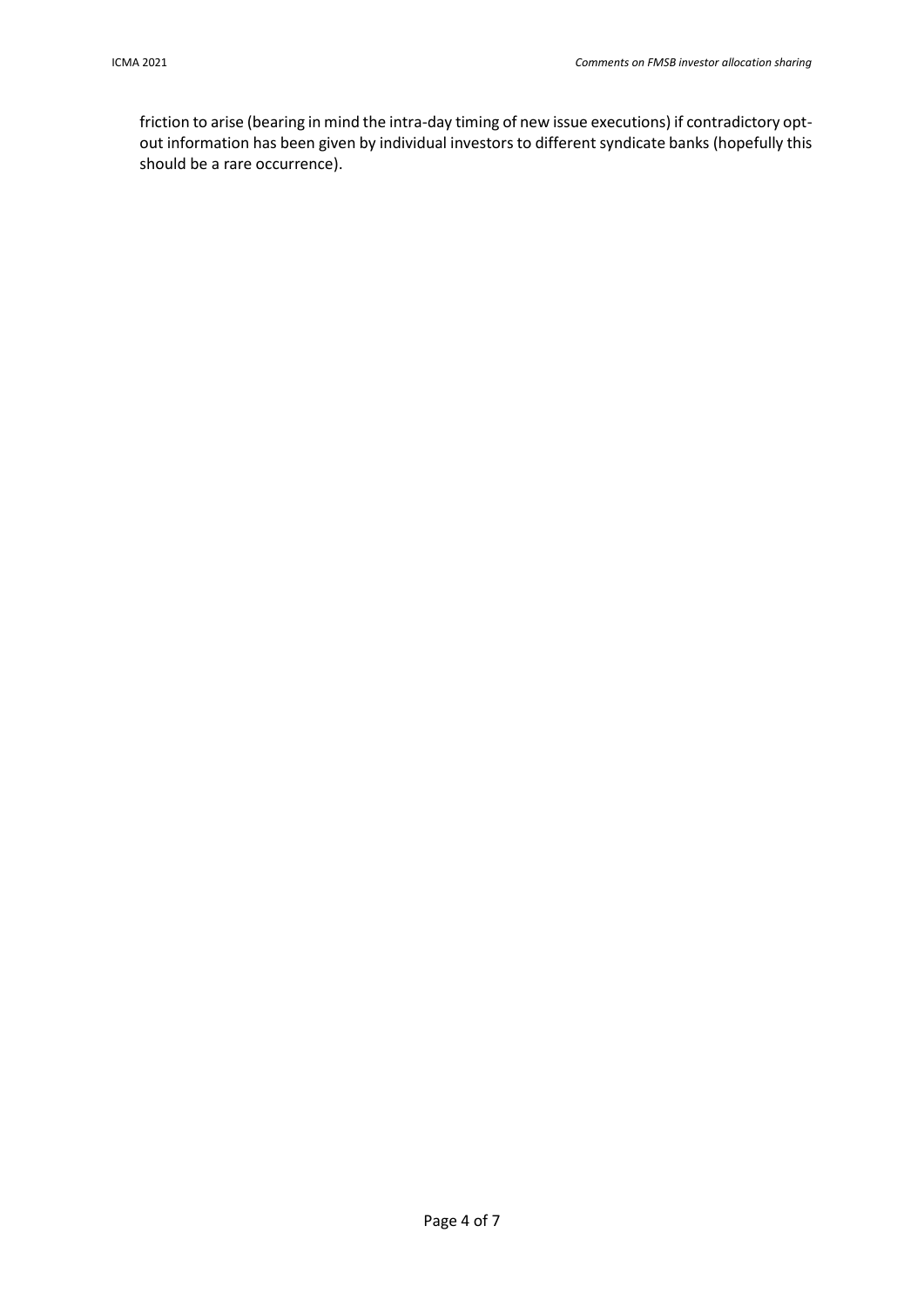friction to arise (bearing in mind the intra-day timing of new issue executions) if contradictory optout information has been given by individual investors to different syndicate banks (hopefully this should be a rare occurrence).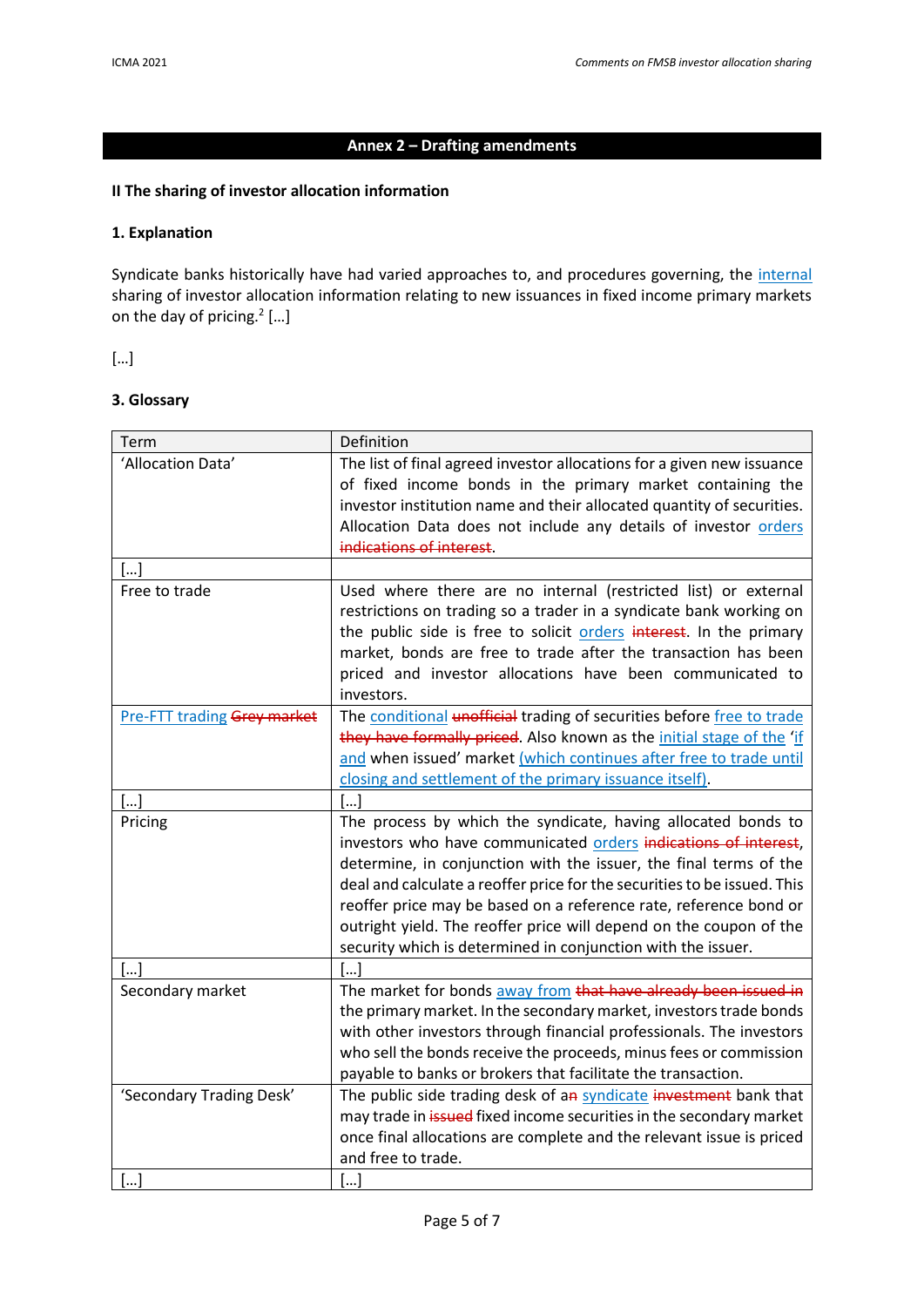# **Annex 2 – Drafting amendments**

# **II The sharing of investor allocation information**

### **1. Explanation**

Syndicate banks historically have had varied approaches to, and procedures governing, the internal sharing of investor allocation information relating to new issuances in fixed income primary markets on the day of pricing. $2$  [...]

[…]

## **3. Glossary**

| Term                           | Definition                                                                                                                                                                                                                                                                                                                                                                                                                                                                                   |
|--------------------------------|----------------------------------------------------------------------------------------------------------------------------------------------------------------------------------------------------------------------------------------------------------------------------------------------------------------------------------------------------------------------------------------------------------------------------------------------------------------------------------------------|
| 'Allocation Data'              | The list of final agreed investor allocations for a given new issuance<br>of fixed income bonds in the primary market containing the<br>investor institution name and their allocated quantity of securities.<br>Allocation Data does not include any details of investor orders<br>indications of interest.                                                                                                                                                                                 |
| $[]$                           |                                                                                                                                                                                                                                                                                                                                                                                                                                                                                              |
| Free to trade                  | Used where there are no internal (restricted list) or external<br>restrictions on trading so a trader in a syndicate bank working on<br>the public side is free to solicit orders interest. In the primary<br>market, bonds are free to trade after the transaction has been<br>priced and investor allocations have been communicated to<br>investors.                                                                                                                                      |
| Pre-FTT trading Grey market    | The conditional <i>unofficial</i> trading of securities before free to trade<br>they have formally priced. Also known as the initial stage of the 'if<br>and when issued' market (which continues after free to trade until<br>closing and settlement of the primary issuance itself).                                                                                                                                                                                                       |
| []                             | []                                                                                                                                                                                                                                                                                                                                                                                                                                                                                           |
| Pricing                        | The process by which the syndicate, having allocated bonds to<br>investors who have communicated orders indications of interest,<br>determine, in conjunction with the issuer, the final terms of the<br>deal and calculate a reoffer price for the securities to be issued. This<br>reoffer price may be based on a reference rate, reference bond or<br>outright yield. The reoffer price will depend on the coupon of the<br>security which is determined in conjunction with the issuer. |
| []                             | […]                                                                                                                                                                                                                                                                                                                                                                                                                                                                                          |
| Secondary market               | The market for bonds away from that have already been issued in<br>the primary market. In the secondary market, investors trade bonds<br>with other investors through financial professionals. The investors<br>who sell the bonds receive the proceeds, minus fees or commission<br>payable to banks or brokers that facilitate the transaction.                                                                                                                                            |
| 'Secondary Trading Desk'<br>[] | The public side trading desk of an syndicate investment bank that<br>may trade in issued fixed income securities in the secondary market<br>once final allocations are complete and the relevant issue is priced<br>and free to trade.<br>[]                                                                                                                                                                                                                                                 |
|                                |                                                                                                                                                                                                                                                                                                                                                                                                                                                                                              |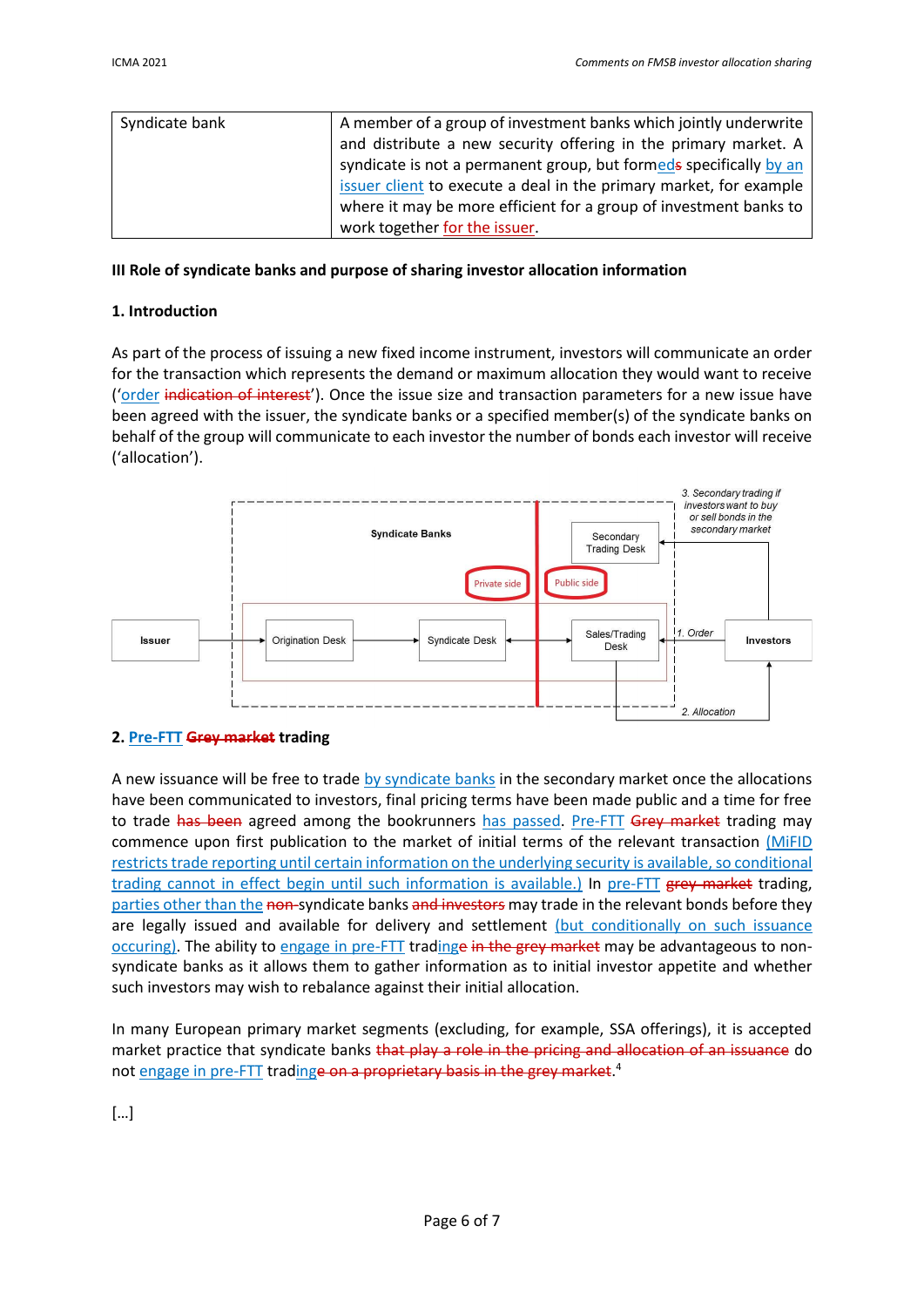| Syndicate bank | A member of a group of investment banks which jointly underwrite   |
|----------------|--------------------------------------------------------------------|
|                | and distribute a new security offering in the primary market. A    |
|                | syndicate is not a permanent group, but formeds specifically by an |
|                | issuer client to execute a deal in the primary market, for example |
|                | where it may be more efficient for a group of investment banks to  |
|                | work together for the issuer.                                      |

#### **III Role of syndicate banks and purpose of sharing investor allocation information**

## **1. Introduction**

As part of the process of issuing a new fixed income instrument, investors will communicate an order for the transaction which represents the demand or maximum allocation they would want to receive ('order indication of interest'). Once the issue size and transaction parameters for a new issue have been agreed with the issuer, the syndicate banks or a specified member(s) of the syndicate banks on behalf of the group will communicate to each investor the number of bonds each investor will receive ('allocation').



#### **2. Pre-FTT Grey market trading**

A new issuance will be free to trade by syndicate banks in the secondary market once the allocations have been communicated to investors, final pricing terms have been made public and a time for free to trade has been agreed among the bookrunners has passed. Pre-FTT Grey market trading may commence upon first publication to the market of initial terms of the relevant transaction (MIFID restricts trade reporting until certain information on the underlying security is available, so conditional trading cannot in effect begin until such information is available.) In pre-FTT grey market trading, parties other than the non-syndicate banks and investors may trade in the relevant bonds before they are legally issued and available for delivery and settlement (but conditionally on such issuance occuring). The ability to engage in pre-FTT tradinge in the grey market may be advantageous to nonsyndicate banks as it allows them to gather information as to initial investor appetite and whether such investors may wish to rebalance against their initial allocation.

In many European primary market segments (excluding, for example, SSA offerings), it is accepted market practice that syndicate banks that play a role in the pricing and allocation of an issuance do not engage in pre-FTT tradinge on a proprietary basis in the grey market.<sup>4</sup>

[…]